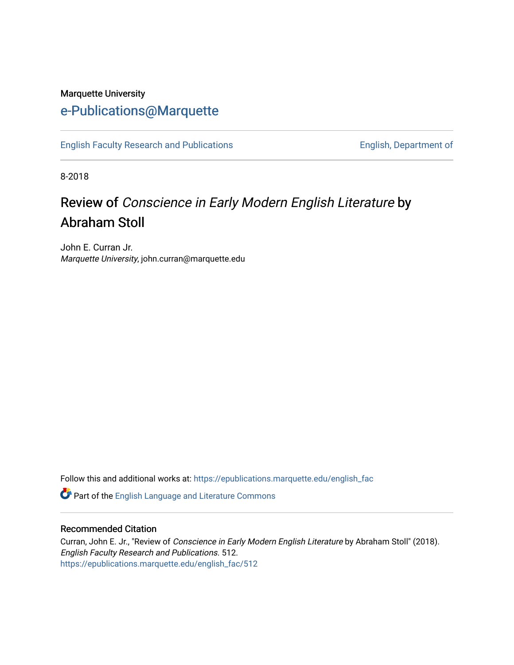## Marquette University [e-Publications@Marquette](https://epublications.marquette.edu/)

[English Faculty Research and Publications](https://epublications.marquette.edu/english_fac) **English, Department of** English, Department of

8-2018

## Review of Conscience in Early Modern English Literature by Abraham Stoll

John E. Curran Jr. Marquette University, john.curran@marquette.edu

Follow this and additional works at: [https://epublications.marquette.edu/english\\_fac](https://epublications.marquette.edu/english_fac?utm_source=epublications.marquette.edu%2Fenglish_fac%2F512&utm_medium=PDF&utm_campaign=PDFCoverPages)

Part of the [English Language and Literature Commons](http://network.bepress.com/hgg/discipline/455?utm_source=epublications.marquette.edu%2Fenglish_fac%2F512&utm_medium=PDF&utm_campaign=PDFCoverPages)

## Recommended Citation

Curran, John E. Jr., "Review of Conscience in Early Modern English Literature by Abraham Stoll" (2018). English Faculty Research and Publications. 512. [https://epublications.marquette.edu/english\\_fac/512](https://epublications.marquette.edu/english_fac/512?utm_source=epublications.marquette.edu%2Fenglish_fac%2F512&utm_medium=PDF&utm_campaign=PDFCoverPages)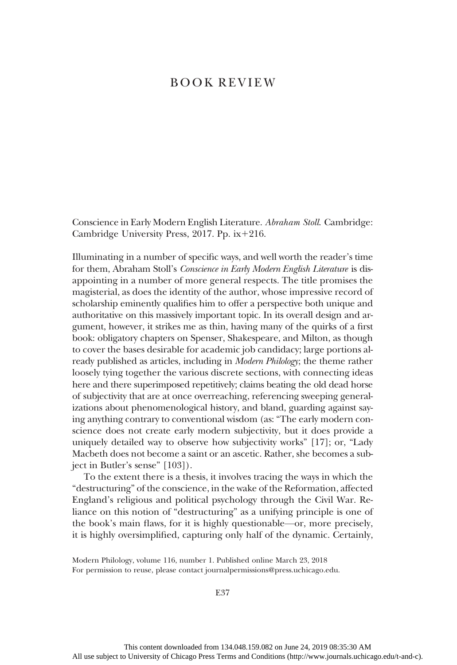## BOOK REVIEW

Conscience in Early Modern English Literature. Abraham Stoll. Cambridge: Cambridge University Press,  $2017$ . Pp. ix+216.

Illuminating in a number of specific ways, and well worth the reader's time for them, Abraham Stoll's Conscience in Early Modern English Literature is disappointing in a number of more general respects. The title promises the magisterial, as does the identity of the author, whose impressive record of scholarship eminently qualifies him to offer a perspective both unique and authoritative on this massively important topic. In its overall design and argument, however, it strikes me as thin, having many of the quirks of a first book: obligatory chapters on Spenser, Shakespeare, and Milton, as though to cover the bases desirable for academic job candidacy; large portions already published as articles, including in Modern Philology; the theme rather loosely tying together the various discrete sections, with connecting ideas here and there superimposed repetitively; claims beating the old dead horse of subjectivity that are at once overreaching, referencing sweeping generalizations about phenomenological history, and bland, guarding against saying anything contrary to conventional wisdom (as: "The early modern conscience does not create early modern subjectivity, but it does provide a uniquely detailed way to observe how subjectivity works" [17]; or, "Lady Macbeth does not become a saint or an ascetic. Rather, she becomes a subject in Butler's sense" [103]).

To the extent there is a thesis, it involves tracing the ways in which the "destructuring" of the conscience, in the wake of the Reformation, affected England's religious and political psychology through the Civil War. Reliance on this notion of "destructuring" as a unifying principle is one of the book's main flaws, for it is highly questionable—or, more precisely, it is highly oversimplified, capturing only half of the dynamic. Certainly,

Modern Philology, volume 116, number 1. Published online March 23, 2018 For permission to reuse, please contact journalpermissions@press.uchicago.edu.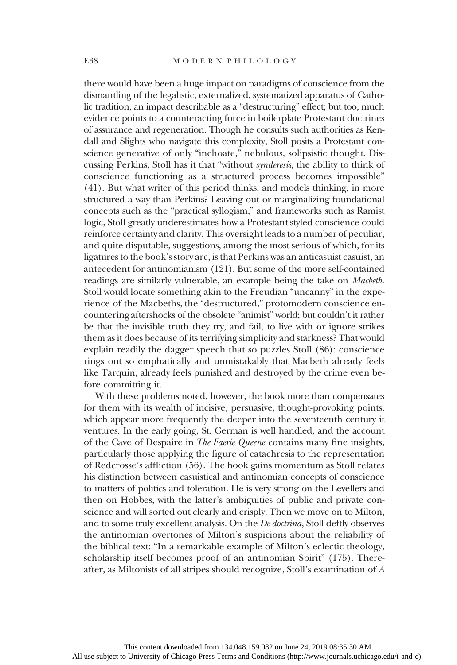there would have been a huge impact on paradigms of conscience from the dismantling of the legalistic, externalized, systematized apparatus of Catholic tradition, an impact describable as a "destructuring" effect; but too, much evidence points to a counteracting force in boilerplate Protestant doctrines of assurance and regeneration. Though he consults such authorities as Kendall and Slights who navigate this complexity, Stoll posits a Protestant conscience generative of only "inchoate," nebulous, solipsistic thought. Discussing Perkins, Stoll has it that "without synderesis, the ability to think of conscience functioning as a structured process becomes impossible" (41). But what writer of this period thinks, and models thinking, in more structured a way than Perkins? Leaving out or marginalizing foundational concepts such as the "practical syllogism," and frameworks such as Ramist logic, Stoll greatly underestimates how a Protestant-styled conscience could reinforce certainty and clarity. This oversight leads to a number of peculiar, and quite disputable, suggestions, among the most serious of which, for its ligatures to the book's story arc, is that Perkins was an anticasuist casuist, an antecedent for antinomianism (121). But some of the more self-contained readings are similarly vulnerable, an example being the take on Macbeth. Stoll would locate something akin to the Freudian "uncanny" in the experience of the Macbeths, the "destructured," protomodern conscience encountering aftershocks of the obsolete "animist" world; but couldn't it rather be that the invisible truth they try, and fail, to live with or ignore strikes them as it does because of its terrifying simplicity and starkness? That would explain readily the dagger speech that so puzzles Stoll (86): conscience rings out so emphatically and unmistakably that Macbeth already feels like Tarquin, already feels punished and destroyed by the crime even before committing it.

With these problems noted, however, the book more than compensates for them with its wealth of incisive, persuasive, thought-provoking points, which appear more frequently the deeper into the seventeenth century it ventures. In the early going, St. German is well handled, and the account of the Cave of Despaire in The Faerie Queene contains many fine insights, particularly those applying the figure of catachresis to the representation of Redcrosse's affliction (56). The book gains momentum as Stoll relates his distinction between casuistical and antinomian concepts of conscience to matters of politics and toleration. He is very strong on the Levellers and then on Hobbes, with the latter's ambiguities of public and private conscience and will sorted out clearly and crisply. Then we move on to Milton, and to some truly excellent analysis. On the *De doctrina*, Stoll deftly observes the antinomian overtones of Milton's suspicions about the reliability of the biblical text: "In a remarkable example of Milton's eclectic theology, scholarship itself becomes proof of an antinomian Spirit" (175). Thereafter, as Miltonists of all stripes should recognize, Stoll's examination of A